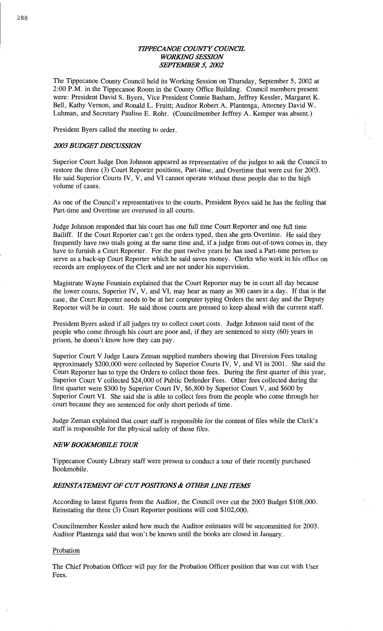# *TH'PECANOE COUNTY COWCE WORMG SESSION*  **SEPTEMBER 5, 2002**

The **Tippecanoe County** Council held its Working Session on Thursday, September 5, 2002 at 2:00 P.M. in the **Tippecanoe Room** in the County **Office** Building. Council members present were: President David S. Byers, **Vice** President **Connie Basham,** Jeffrey Kessler, Margaret K. Bell, Kathy Vernon, and **Ronald** L. Pruitt; **Auditor** Robert A. **Plantenga,** Attorney David W. **Luhman,** and Secretary Pauline E. Rohr. **(Councilmember** Jeffrey A. Kemper was absent.)

**President** Byers called the **meeting** to order.

## *2003 BUDGET DISCUSSION*

Superior Court Judge Don Johnson appeared as representative of the judges to ask the **Council** to restore the three (3) Court Reporter positions, Part-time, and Overtime that were cut for 2003. He said Superior Courts IV, V, and VI cannot operate without these people due to the **high**  volume of cases.

As one of the Council's representatives to the courts, President Byers **said** he has the feeling **that**  Part-time and Overtime are **overused** in all **courts.** 

Judge Johnson responded that his court has one full **time** Court Reporter and one **full time**  Bailiff. If the Court Reporter can't get the orders typed, then she gets Overtime. He **said** they frequently have two trials going at the **same** time **and,** if a judge from out-of-town comes in, **they**  have to furnish **a** Court Reporter. For the past twelve years he has used **a** Part-time **person** to serve as **<sup>a</sup>**back-up **Court** Reporter which he said saves **money.** Clerks who work in his office on records are employees of the Clerk and are not under his supervision.

Magistrate Wayne **Fountain explained that** the Court Reporter may be in court all day because the lower courts, Superior IV, V, and VI, may hear as many as 300 cases in **a** day. If **that** is the case, the Court Reporter needs to be at her computer typing Orders the **next** day and the Deputy Reporter will be in court. He said those courts are pressed to keep ahead with the current staff.

President Byers asked if all judges try to collect court **costs.** Judge Johnson **said most** of the people who **come** through his **court** are poor **and,** if they are sentenced to sixty (60) years in prison, he doesn't know how they can pay.

Superior **Court** V Judge Laura Zeman supplied numbers showing **that** Diversion Fees totaling approximately \$200,000 were collected by Superior **Courts** IV, V, and VI in 2001. She **said** the Court Reporter has to type the Orders to collect those fees. During the first quarter of **this** year, Superior Court V collected \$24,000 of Public Defender **Fees. Other fees** collected during the first quarter were \$300 by Superior Court IV, \$6,800 by Superior Court V, and \$600 by Superior Court VI. She said she is **able** to collect fees from the people who **come** through her court because they are sentenced for only short periods of time.

Judge **Zeman** explained that **court** staff is responsible for the **content** of files while the Clerk's staff is responsible for the physical safety of those files.

# *NFWBOOKIWOBILE TOUR*

Tippecanoe County Library staff were present to conduct a tour of their recently purchased Bookmobile.

## *REWSTA YEMENT* 0F CUT *POSHYONS & OTIE'R LHVE ITEMS*

According to latest figures from the Auditor, the Council over cut the 2003 **Budget** \$108,000. Reinstating the three (3) **Court** Reporter positions **will** cost **\$102,000.** 

Councilmember Kessler asked how **much** the Auditor **estimates** will be uncommitted for 2003. Auditor Plantenga said **that** won't be lmown until the books are closed in January.

#### Probation

The Chief Probation Officer will pay for the Probation Officer **position** that was cut with User Fees.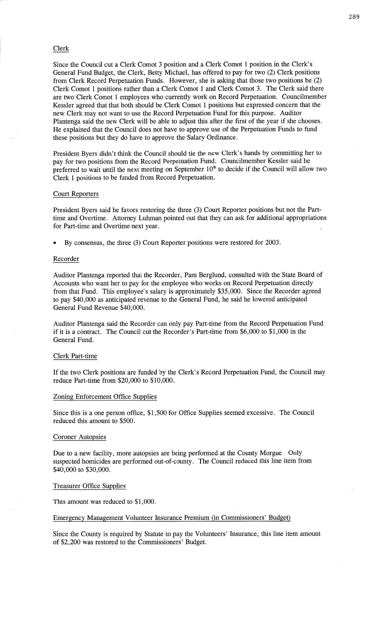## Clerk

Since the Council cut a Clerk Comot 3 position and **a** Clerk Comot **1** position in the Clerk's General Fund Budget, the Clerk, Betty Michael, has offered to pay for two (2) Clerk positions from Clerk Record Perpetuation Funds. However, she is asking that those two positions be (2) Clerk Comot **1** positions rather **than** a Clerk Comot **1** and Clerk Comot 3. The Clerk **said** there are two Clerk Comot **1** employees who currently work on Record Perpetuation. Councihnember Kessler agreed that **that** both should be Clerk Comot 1 positions but expressed concern **that** the new Clerk may not want to use the Record Perpetuation Fund for this purpose. Auditor Plantenga **said** the new Clerk will be able to adjust **this** after the first of the year if she chooses. He explained that the Council does not have to approve use of the Perpetuation Funds to **fund**  these **positions** but they do have to approve the Salary Ordinance.

President Byers didn't **think** the Council should tie the new Clerk's hands by committing her to pay for two positions from the Record Perpetuation Fund. Councilmember Kessler said he preferred to wait until the next meeting on September  $10<sup>th</sup>$  to decide if the Council will allow two Clerk **1 positions** to be funded from Record Perpetuation.

## Court Reporters

President Byers said he favors restoring the three (3) Court Reporter positions but not the Parttime and **Overtime.** Attorney Luhman pointed out **that** they can ask for additional appropriations for Part-time and Overtime next year.

**<sup>0</sup>**By consensus, the three (3) Court Reporter **positions** were restored for 2003.

## Recorder

Auditor Plantenga reported that the Recorder, Pam Berglund, consulted with the State Board of Accounts who want her to pay for the employee who works on Record Perpetuation directly from that Fund. **This** employee's salary is approximately \$35,000. Since the Recorder agreed to pay \$40,000 as anticipated revenue to the General Fund, he **said** he lowered anticipated General Fund Revenue \$40,000.

Auditor Plantenga **said** the Recorder can only pay Part—time from the Record Perpetuation Fund if it is **a** contract. The Council cut the Recorder's **Part-time** from \$6,000 to \$1,000 in the General Fund.

## Clerk Part-time

If the two Clerk positions are funded by the Clerk's Record Perpetuation Fund, the Council may reduce Part-time from \$20,000 to \$10,000.

## Zoning Enforcement Office Supplies

Since this is a one person office, \$1,500 for Office Supplies seemed excessive. The Council reduced this amount to \$500.

#### Coroner Autopsies

Due to **a** new facility, more autopsies are being performed at the County Morgue. Only suspected homicides are performed out—of—county. The Council reduced **this** line item from \$40,000 to \$30,000.

## Treasurer Office Supplies

This amount was reduced to \$1,000.

## Emergency Management Volunteer Insurance Premium (in Commissioners' Budget)

Since the County is required by Statute to pay the Volunteers' Insurance, this line item amount of \$2,200 was restored to the Commissioners' Budget.